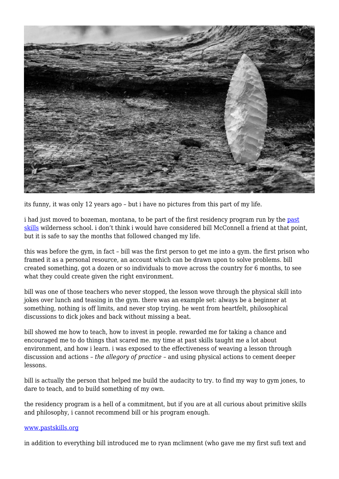

its funny, it was only 12 years ago – but i have no pictures from this part of my life.

i had just moved to bozeman, montana, to be part of the first residency program run by the [past](http://www.pastskills.org) [skills](http://www.pastskills.org) wilderness school. i don't think i would have considered bill McConnell a friend at that point, but it is safe to say the months that followed changed my life.

this was before the gym, in fact – bill was the first person to get me into a gym. the first prison who framed it as a personal resource, an account which can be drawn upon to solve problems. bill created something, got a dozen or so individuals to move across the country for 6 months, to see what they could create given the right environment.

bill was one of those teachers who never stopped, the lesson wove through the physical skill into jokes over lunch and teasing in the gym. there was an example set: always be a beginner at something, nothing is off limits, and never stop trying. he went from heartfelt, philosophical discussions to dick jokes and back without missing a beat.

bill showed me how to teach, how to invest in people. rewarded me for taking a chance and encouraged me to do things that scared me. my time at past skills taught me a lot about environment, and how i learn. i was exposed to the effectiveness of weaving a lesson through discussion and actions – *the allegory of practice* – and using physical actions to cement deeper lessons.

bill is actually the person that helped me build the audacity to try. to find my way to gym jones, to dare to teach, and to build something of my own.

the residency program is a hell of a commitment, but if you are at all curious about primitive skills and philosophy, i cannot recommend bill or his program enough.

## [www.pastskills.org](http://www.pastskills.org)

in addition to everything bill introduced me to ryan mclimnent (who gave me my first sufi text and